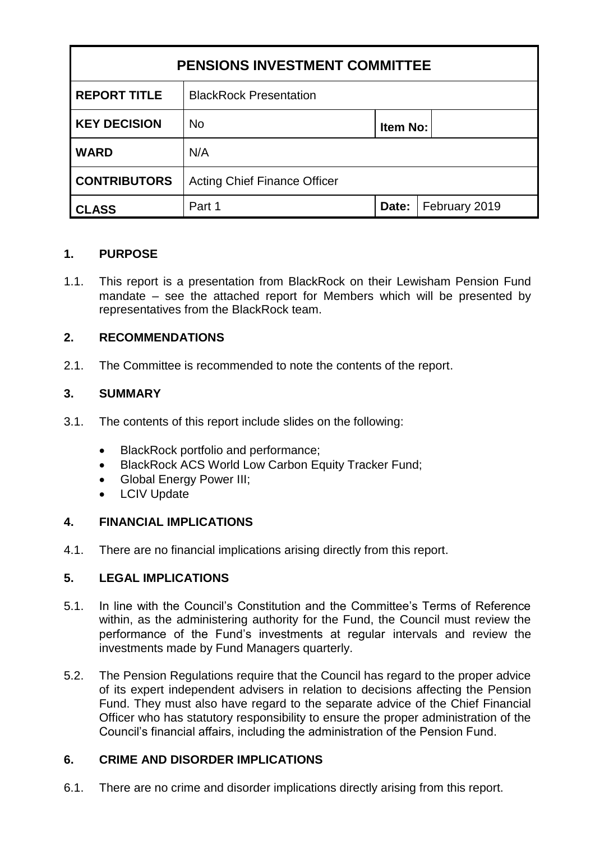| <b>PENSIONS INVESTMENT COMMITTEE</b> |                                     |          |               |
|--------------------------------------|-------------------------------------|----------|---------------|
| <b>REPORT TITLE</b>                  | <b>BlackRock Presentation</b>       |          |               |
| <b>KEY DECISION</b>                  | <b>No</b>                           | Item No: |               |
| <b>WARD</b>                          | N/A                                 |          |               |
| <b>CONTRIBUTORS</b>                  | <b>Acting Chief Finance Officer</b> |          |               |
| <b>CLASS</b>                         | Part 1                              | Date:    | February 2019 |

#### **1. PURPOSE**

1.1. This report is a presentation from BlackRock on their Lewisham Pension Fund mandate – see the attached report for Members which will be presented by representatives from the BlackRock team.

## **2. RECOMMENDATIONS**

2.1. The Committee is recommended to note the contents of the report.

## **3. SUMMARY**

- 3.1. The contents of this report include slides on the following:
	- BlackRock portfolio and performance;
	- BlackRock ACS World Low Carbon Equity Tracker Fund;
	- Global Energy Power III;
	- LCIV Update

#### **4. FINANCIAL IMPLICATIONS**

4.1. There are no financial implications arising directly from this report.

#### **5. LEGAL IMPLICATIONS**

- 5.1. In line with the Council's Constitution and the Committee's Terms of Reference within, as the administering authority for the Fund, the Council must review the performance of the Fund's investments at regular intervals and review the investments made by Fund Managers quarterly.
- 5.2. The Pension Regulations require that the Council has regard to the proper advice of its expert independent advisers in relation to decisions affecting the Pension Fund. They must also have regard to the separate advice of the Chief Financial Officer who has statutory responsibility to ensure the proper administration of the Council's financial affairs, including the administration of the Pension Fund.

#### **6. CRIME AND DISORDER IMPLICATIONS**

6.1. There are no crime and disorder implications directly arising from this report.